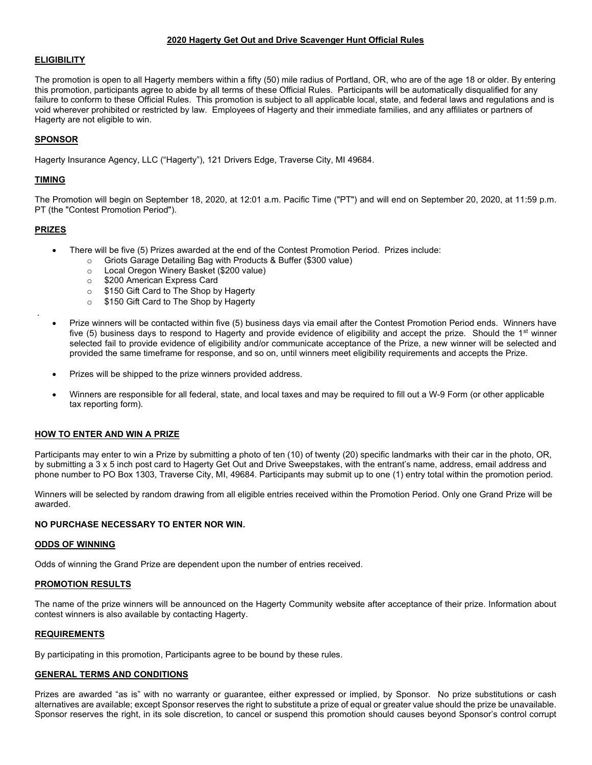#### 2020 Hagerty Get Out and Drive Scavenger Hunt Official Rules

#### **ELIGIBILITY**

The promotion is open to all Hagerty members within a fifty (50) mile radius of Portland, OR, who are of the age 18 or older. By entering this promotion, participants agree to abide by all terms of these Official Rules. Participants will be automatically disqualified for any failure to conform to these Official Rules. This promotion is subject to all applicable local, state, and federal laws and regulations and is void wherever prohibited or restricted by law. Employees of Hagerty and their immediate families, and any affiliates or partners of Hagerty are not eligible to win.

## SPONSOR

Hagerty Insurance Agency, LLC ("Hagerty"), 121 Drivers Edge, Traverse City, MI 49684.

## TIMING

The Promotion will begin on September 18, 2020, at 12:01 a.m. Pacific Time ("PT") and will end on September 20, 2020, at 11:59 p.m. PT (the "Contest Promotion Period").

## PRIZES

.

- There will be five (5) Prizes awarded at the end of the Contest Promotion Period. Prizes include:
	- o Griots Garage Detailing Bag with Products & Buffer (\$300 value)
	- o Local Oregon Winery Basket (\$200 value)
	- o \$200 American Express Card
	- o \$150 Gift Card to The Shop by Hagerty
	- o \$150 Gift Card to The Shop by Hagerty
- Prize winners will be contacted within five (5) business days via email after the Contest Promotion Period ends. Winners have five  $(5)$  business days to respond to Hagerty and provide evidence of eligibility and accept the prize. Should the 1<sup>st</sup> winner selected fail to provide evidence of eligibility and/or communicate acceptance of the Prize, a new winner will be selected and provided the same timeframe for response, and so on, until winners meet eligibility requirements and accepts the Prize.
- Prizes will be shipped to the prize winners provided address.
- Winners are responsible for all federal, state, and local taxes and may be required to fill out a W-9 Form (or other applicable tax reporting form).

#### HOW TO ENTER AND WIN A PRIZE

Participants may enter to win a Prize by submitting a photo of ten (10) of twenty (20) specific landmarks with their car in the photo, OR, by submitting a 3 x 5 inch post card to Hagerty Get Out and Drive Sweepstakes, with the entrant's name, address, email address and phone number to PO Box 1303, Traverse City, MI, 49684. Participants may submit up to one (1) entry total within the promotion period.

Winners will be selected by random drawing from all eligible entries received within the Promotion Period. Only one Grand Prize will be awarded.

#### NO PURCHASE NECESSARY TO ENTER NOR WIN.

#### ODDS OF WINNING

Odds of winning the Grand Prize are dependent upon the number of entries received.

#### PROMOTION RESULTS

The name of the prize winners will be announced on the Hagerty Community website after acceptance of their prize. Information about contest winners is also available by contacting Hagerty.

#### REQUIREMENTS

By participating in this promotion, Participants agree to be bound by these rules.

# GENERAL TERMS AND CONDITIONS

Prizes are awarded "as is" with no warranty or guarantee, either expressed or implied, by Sponsor. No prize substitutions or cash alternatives are available; except Sponsor reserves the right to substitute a prize of equal or greater value should the prize be unavailable. Sponsor reserves the right, in its sole discretion, to cancel or suspend this promotion should causes beyond Sponsor's control corrupt